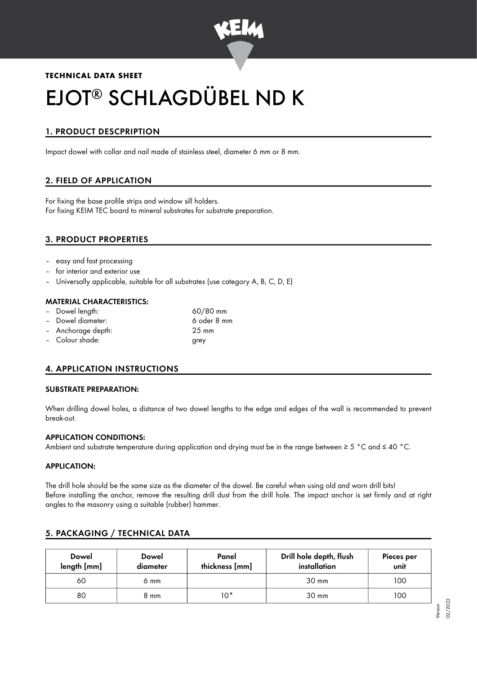

## **TECHNICAL DATA SHEET**

# EJOT® SCHLAGDÜBEL ND K

# 1. PRODUCT DESCPRIPTION

Impact dowel with collar and nail made of stainless steel, diameter 6 mm or 8 mm.

# 2. FIELD OF APPLICATION

For fixing the base profile strips and window sill holders. For fixing KEIM TEC board to mineral substrates for substrate preparation.

## 3. PRODUCT PROPERTIES

- easy and fast processing
- for interior and exterior use
- Universally applicable, suitable for all substrates (use category A, B, C, D, E)

#### MATERIAL CHARACTERISTICS:

- Dowel length: 60/80 mm
- Dowel diameter: 6 oder 8 mm
- Anchorage depth: 25 mm
- 
- 
- Colour shade: grey

# 4. APPLICATION INSTRUCTIONS

#### SUBSTRATE PREPARATION:

When drilling dowel holes, a distance of two dowel lengths to the edge and edges of the wall is recommended to prevent break-out.

#### APPLICATION CONDITIONS:

Ambient and substrate temperature during application and drying must be in the range between ≥ 5 °C and ≤ 40 °C.

#### APPLICATION:

The drill hole should be the same size as the diameter of the dowel. Be careful when using old and worn drill bits! Before installing the anchor, remove the resulting drill dust from the drill hole. The impact anchor is set firmly and at right angles to the masonry using a suitable (rubber) hammer.

# 5. PACKAGING / TECHNICAL DATA

| <b>Dowel</b><br>length [mm] | <b>Dowel</b><br>diameter | Panel<br>thickness [mm] | Drill hole depth, flush<br>installation | Pieces per<br>unit |
|-----------------------------|--------------------------|-------------------------|-----------------------------------------|--------------------|
| 60                          | 6 mm                     |                         | $30 \text{ mm}$                         | 100                |
| 80                          | 8 mm                     | 10*                     | $30 \text{ mm}$                         | 100                |

Version 02/2022